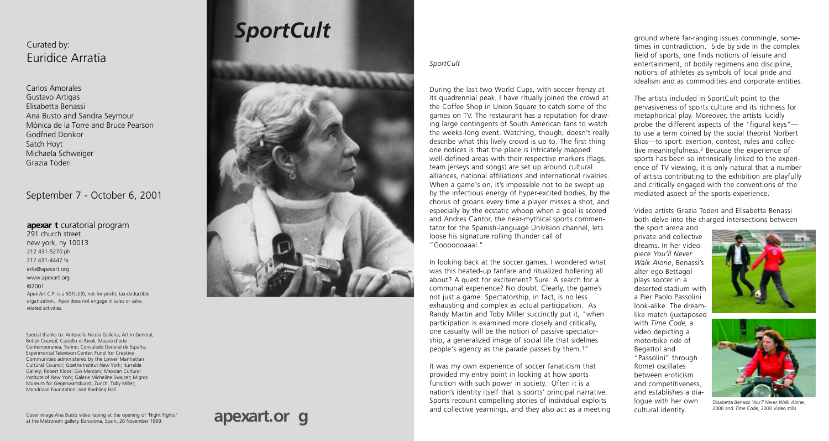## **apexart.or g**

### SportCult

During the last two World Cups, with soccer frenzy at its quadrennial peak, I have ritually joined the crowd at the Coffee Shop in Union Square to catch some of the games on TV. The restaurant has a reputation for drawing large contingents of South American fans to watch the weeks-long event. Watching, though, doesn't really describe what this lively crowd is up to. The first thing one notices is that the place is intricately mapped: well-defined areas with their respective markers (flags, team jerseys and songs) are set up around cultural alliances, national affiliations and international rivalries. When a game's on, it's impossible not to be swept up by the infectious energy of hyper-excited bodies, by the chorus of groans every time a player misses a shot, and especially by the ecstatic whoop when a goal is scored and Andres Cantor, the near-mythical sports commentator for the Spanish-language Univision channel, lets loose his signature rolling thunder call of " Gooooogaal "

ground where far-ranging issues commingle, sometimes in contradiction. Side by side in the complex field of sports, one finds notions of leisure and entertainment, of bodily regimens and discipline, notions of athletes as symbols of local pride and idealism and as commodities and corporate entities.

In looking back at the soccer games, I wondered what was this heated-up fanfare and ritualized hollering all about? A quest for excitement? Sure. A search for a communal experience? No doubt. Clearly, the game's not just a game. Spectatorship, in fact, is no less exhausting and complex as actual participation. As Randy Martin and Toby Miller succinctly put it, "when participation is examined more closely and critically, one casualty will be the notion of passive spectatorship, a generalized image of social life that sidelines people's agency as the parade passes by them. <sup>1</sup>"

It was my own experience of soccer fanaticism that provided my entry point in looking at how sports function with such power in society. Often it is a nation's identity itself that is sports' principal narrative. Sports recount compelling stories of individual exploits and collective yearnings, and they also act as a meeting

#### **apexar t** curatorial program

291 church street new york, ny 10013 212 431-5270 ph 212 431-4447 fx info@apexart.or g www.apexart.or g ©2001 Apex Art C.P. is a 501(c)(3), not-for-profit, tax-deductible organization. Apex does not engage in sales or sales related activities.

The artists included in SportCult point to the pervasiveness of sports culture and its richness for metaphorical play. Moreover, the artists lucidly probe the different aspects of the "figural keys" $$ to use a term coined by the social theorist Norbert Elias—to sport: exertion, contest, rules and collective meaningfulness.<sup>2</sup> Because the experience of sports has been so intrinsically linked to the experience of TV viewing, it is only natural that a number of artists contributing to the exhibition are playfully and critically engaged with the conventions of the mediated aspect of the sports experience.

Video artists Grazia Toderi and Elisabetta Benassi both delve into the charged intersections between

the sport arena and private and collective dreams. In her video piece *You'll Never Walk Alone*, Benassi's alter ego Bettagol plays soccer in a deserted stadium with a Pier Paolo Passolini look-alike. The dreamlike match (juxtaposed with *Time Code*, a video depicting a motorbike ride of Begattol and "Passolini" through Rome) oscillates between eroticism and competitiveness, and establishes a dialogue with her own cultural identity.



# *SportCult*



Carlos Amorales Gustavo Artigas Elisabetta Benassi Ana Busto and Sandra Seymour Mónica de la Tor re and Bruce Pearson Godfried Donkor Satch Hoyt Michaela Schweiger Grazia Toderi

### September 7 - October 6, 2001

### Curated by: Euridice Arratia



Elisabetta Benassi *You'll Never Walk Alone* , 2000 and *Time Code*, 2000 Video stills

Special thanks to: Antonella Nicola Galleria; Art in General; British Council; Castello di Rivoli, Museo d'arte Contemporanea, Torino; Consulado General de España; Experimental Television Center: Fund for Creative Communities administered by the Lower Manhattan Cultural Council; Goethe Institut New York; Iturralde Gallery; Robert Kloos; Gio Marconi; Mexican Cultural Institute of New York; Galerie Micheline Swajcer; Migros Museum for Gegenwartskunst, Zurich; Toby Miller; Mondriaan Foundation; and Roebling Hall

Cover image:Ana Busto video taping at the opening of 'Night Fights" at the Metronom galler y. Barcelona, Spain, 26 November 1999.